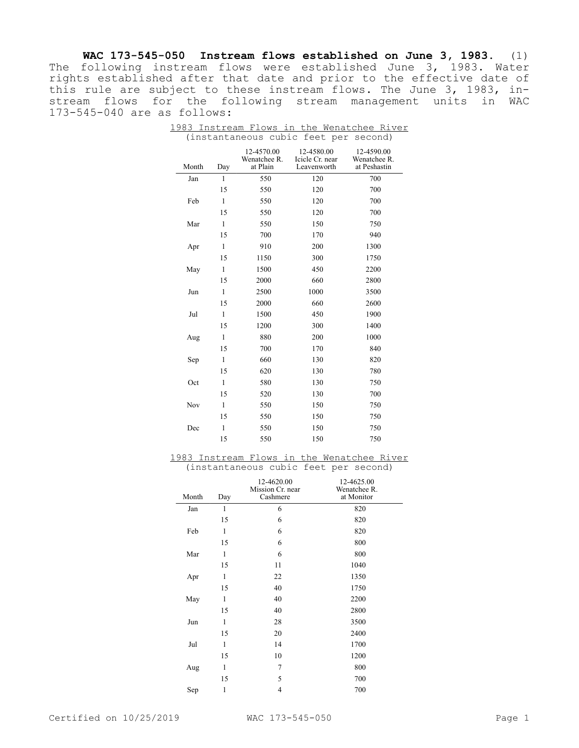**WAC 173-545-050 Instream flows established on June 3, 1983.** (1) The following instream flows were established June 3, 1983. Water rights established after that date and prior to the effective date of this rule are subject to these instream flows. The June 3, 1983, instream flows for the following stream management units in WAC 173-545-040 are as follows:

| Month | Day          | 12-4570.00<br>Wenatchee R.<br>at Plain | 12-4580.00<br>Icicle Cr. near<br>Leavenworth | 12-4590.00<br>Wenatchee R.<br>at Peshastin |
|-------|--------------|----------------------------------------|----------------------------------------------|--------------------------------------------|
| Jan   | $\mathbf{1}$ | 550                                    | 120                                          | 700                                        |
|       | 15           | 550                                    | 120                                          | 700                                        |
| Feb   | $\mathbf{1}$ | 550                                    | 120                                          | 700                                        |
|       | 15           | 550                                    | 120                                          | 700                                        |
| Mar   | $\mathbf{1}$ | 550                                    | 150                                          | 750                                        |
|       | 15           | 700                                    | 170                                          | 940                                        |
| Apr   | $\mathbf{1}$ | 910                                    | 200                                          | 1300                                       |
|       | 15           | 1150                                   | 300                                          | 1750                                       |
| May   | $\mathbf{1}$ | 1500                                   | 450                                          | 2200                                       |
|       | 15           | 2000                                   | 660                                          | 2800                                       |
| Jun   | $\mathbf{1}$ | 2500                                   | 1000                                         | 3500                                       |
|       | 15           | 2000                                   | 660                                          | 2600                                       |
| Jul   | $\mathbf{1}$ | 1500                                   | 450                                          | 1900                                       |
|       | 15           | 1200                                   | 300                                          | 1400                                       |
| Aug   | $\mathbf{1}$ | 880                                    | 200                                          | 1000                                       |
|       | 15           | 700                                    | 170                                          | 840                                        |
| Sep   | $\mathbf{1}$ | 660                                    | 130                                          | 820                                        |
|       | 15           | 620                                    | 130                                          | 780                                        |
| Oct   | $\mathbf{1}$ | 580                                    | 130                                          | 750                                        |
|       | 15           | 520                                    | 130                                          | 700                                        |
| Nov   | $\mathbf{1}$ | 550                                    | 150                                          | 750                                        |
|       | 15           | 550                                    | 150                                          | 750                                        |
| Dec   | $\mathbf{1}$ | 550                                    | 150                                          | 750                                        |
|       | 15           | 550                                    | 150                                          | 750                                        |

1983 Instream Flows in the Wenatchee River (instantaneous cubic feet per second)

1983 Instream Flows in the Wenatchee River (instantaneous cubic feet per second)

| Month | Day | 12-4620.00<br>Mission Cr. near<br>Cashmere | 12-4625.00<br>Wenatchee R.<br>at Monitor |
|-------|-----|--------------------------------------------|------------------------------------------|
| Jan   | 1   | 6                                          | 820                                      |
|       | 15  | 6                                          | 820                                      |
| Feb   | 1   | 6                                          | 820                                      |
|       | 15  | 6                                          | 800                                      |
| Mar   | 1   | 6                                          | 800                                      |
|       | 15  | 11                                         | 1040                                     |
| Apr   | 1   | 22                                         | 1350                                     |
|       | 15  | 40                                         | 1750                                     |
| May   | 1   | 40                                         | 2200                                     |
|       | 15  | 40                                         | 2800                                     |
| Jun   | 1   | 28                                         | 3500                                     |
|       | 15  | 20                                         | 2400                                     |
| Jul   | 1   | 14                                         | 1700                                     |
|       | 15  | 10                                         | 1200                                     |
| Aug   | 1   | 7                                          | 800                                      |
|       | 15  | 5                                          | 700                                      |
| Sep   | 1   | 4                                          | 700                                      |